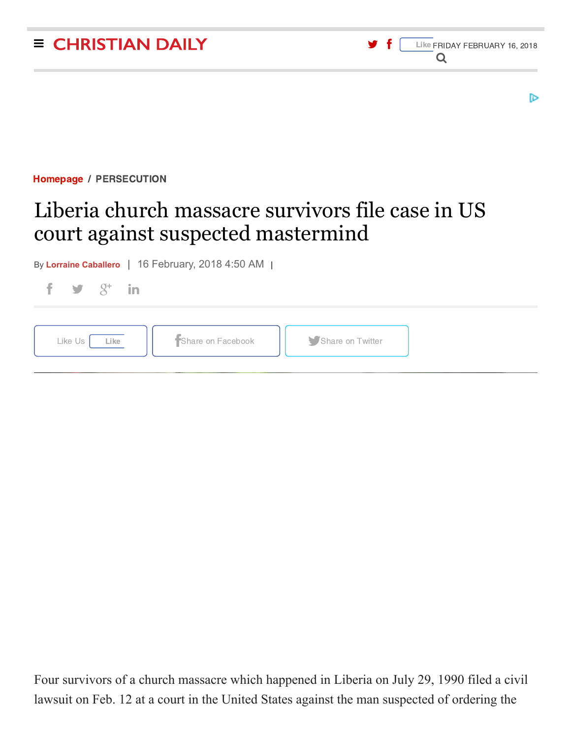

| Four survivors of a church massacre which happened in Liberia on July 29, 1990 filed a civil |  |  |  |
|----------------------------------------------------------------------------------------------|--|--|--|

lawsuit on Feb. 12 at a court in the United States against the man suspected of ordering the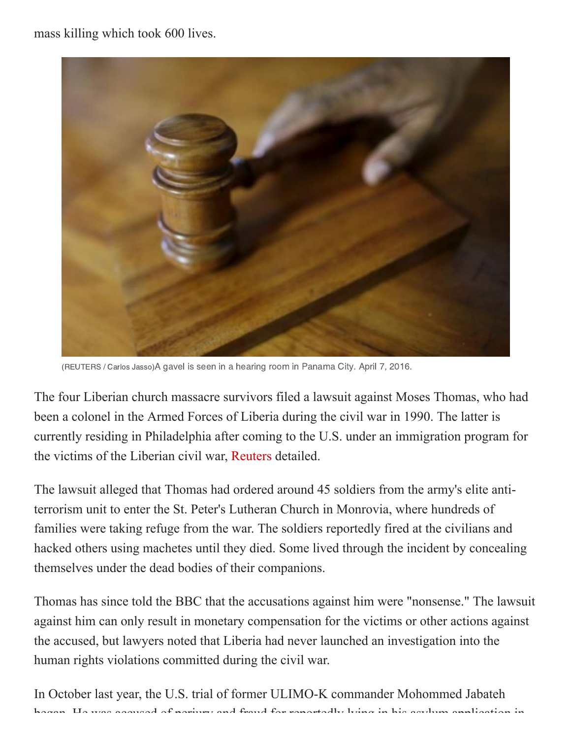mass killing which took 600 lives.



(REUTERS / Carlos Jasso)A gavel is seen in a hearing room in Panama City. April 7, 2016.

The four Liberian church massacre survivors filed a lawsuit against Moses Thomas, who had been a colonel in the Armed Forces of Liberia during the civil war in 1990. The latter is currently residing in Philadelphia after coming to the U.S. under an immigration program for the victims of the Liberian civil war, [Reuters](https://www.reuters.com/article/us-usa-liberia-warcrimes/liberia-church-massacre-survivors-sue-alleged-perpetrator-in-u-s-court-idUSKBN1FX03F) detailed.

The lawsuit alleged that Thomas had ordered around 45 soldiers from the army's elite antiterrorism unit to enter the St. Peter's Lutheran Church in Monrovia, where hundreds of families were taking refuge from the war. The soldiers reportedly fired at the civilians and hacked others using machetes until they died. Some lived through the incident by concealing themselves under the dead bodies of their companions.

Thomas has since told the BBC that the accusations against him were "nonsense." The lawsuit against him can only result in monetary compensation for the victims or other actions against the accused, but lawyers noted that Liberia had never launched an investigation into the human rights violations committed during the civil war.

In October last year, the U.S. trial of former ULIMO-K commander Mohommed Jabateh began He was accused of perjury and fraud for reportedly lying in his asylum application in